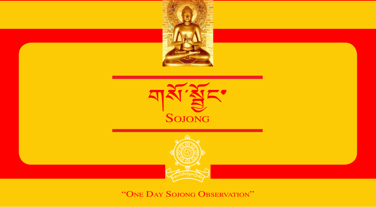

"One Day Sojong Observation" *1*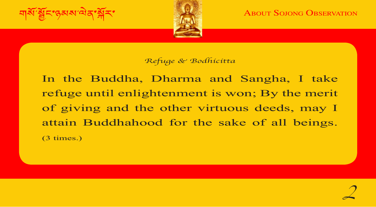

**ABOUT SOJONG OBSERVATION** 

#### *Refuge & Bodhicitta*

of giving and the other virtuous deeds, may I In the Buddha, Dharma and Sangha, I take refuge until enlightenment is won; By the merit attain Buddhahood for the sake of all beings. (3 times.)

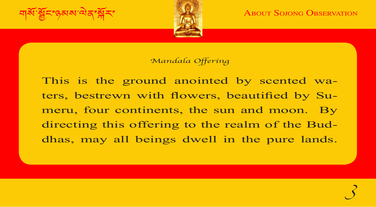

#### Mandala Offering

meru, four continents, the sun and moon. By This is the ground anointed by scented waters, bestrewn with flowers, beautified by Sudirecting this offering to the realm of the Buddhas, may all beings dwell in the pure lands.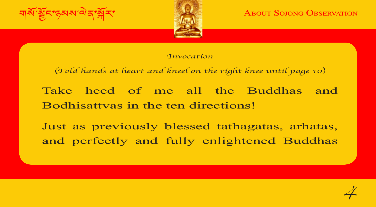

**ABOUT SOJONG OBSERVATION** 

#### *Invocation*

(Fold hands at heart and kneel on the right knee until page 10)

Bodhisattvas in the ten directions! Take heed of me all the Buddhas and

Just as previously blessed tathagatas, arhatas, and perfectly and fully enlightened Buddhas

*4*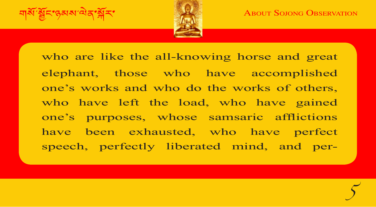নার্ষ $\widetilde{\mathbf{a}}$ ঁষ্ট্রনণ্ড্রমম' $\mathbf{a}$ র্ণ $\widetilde{\mathbf{a}}$ র্ণা $\widetilde{\mathbf{a}}$  About Sojong Observation



who have left the load, who have gained<br>one's purposes, whose samsaric afflictions who are like the all-knowing horse and great elephant, those who have accomplished one's works and who do the works of others, who have left the load, who have gained have been exhausted, who have perfect speech, perfectly liberated mind, and per-

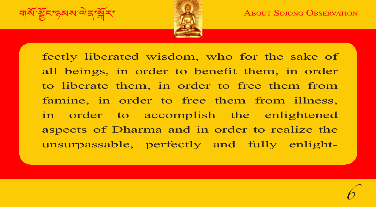

annie, in order to nee them hom miless, fectly liberated wisdom, who for the sake of all beings, in order to benefit them, in order to liberate them, in order to free them from famine, in order to free them from illness, aspects of Dharma and in order to realize the unsurpassable, perfectly and fully enlight-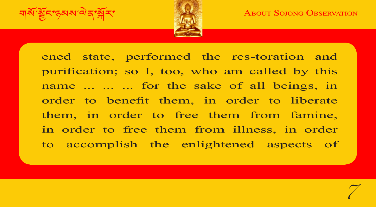নার্ষ $\widetilde{\mathbf{a}}$ ঁষ্ট্রনণ্ড্রমম' $\alpha$ বিষ্কৃষিক স্বাধীন স্বাধীন স্বাধীন স্বাধীন স্বাধীন স্বাধীন স্বাধীন স্বাধীন স্বাধীন স্বাধীন স্বাধীন স্বাধীন স্বাধীন স্বাধীন স্বাধীন স্বাধীন স্বাধীন স্বাধীন স্বাধীন স্বাধীন স্বাধীন স্বাধী



them, in order to free them from famine, ened state, performed the res-toration and purification; so I, too, who am called by this name ... ... ... for the sake of all beings, in order to benefit them, in order to liberate in order to free them from illness, in order to accomplish the enlightened aspects of

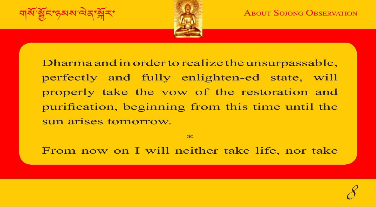*8*

মার্ষী শ্রুবিশ্বেষ অবিশ্বনী বিষয়া সামাজিক স্বাধীন স্বাধীন স্বাধীন স্বাধীন স্বাধীন স্বাধীন স্বাধীন স্বাধীন স্<br>স্বাধীন স্বাধীন স্বাধীন স্বাধীন স্বাধীন স্বাধীন স্বাধীন স্বাধীন স্বাধীন স্বাধীন স্বাধীন স্বাধীন স্বাধীন স্বাধ



purification, beginning from this time until the Dharma and in order to realize the unsurpassable, perfectly and fully enlighten-ed state, will properly take the vow of the restoration and sun arises tomorrow.

\*

From now on I will neither take life, nor take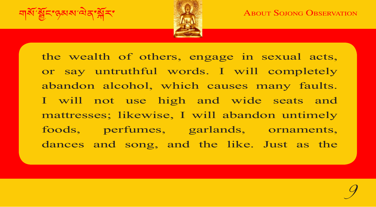

| mattresses; likewise, I will abandon untimely the wealth of others, engage in sexual acts, or say untruthful words. I will completely abandon alcohol, which causes many faults. I will not use high and wide seats and foods, perfumes, garlands, ornaments, dances and song, and the like. Just as the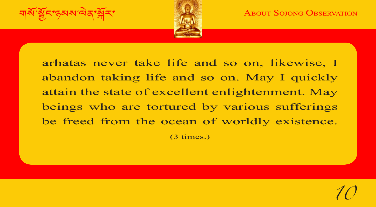*10*



beings who are tortured by various sufferings arhatas never take life and so on, likewise, I abandon taking life and so on. May I quickly attain the state of excellent enlightenment. May be freed from the ocean of worldly existence. (3 times.)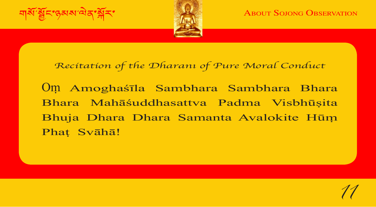

**ABOUT SOJONG OBSERVATION** 

*11*

## Recitation of the Dharanı of Pure Moral Conduct

| Bhuja Dhara Dhara Samanta Avalokite Hūṃ Oṃ Amoghaśīla Sambhara Sambhara Bhara Bhara Mahāśuddhasattva Padma Visbhūṣita Phaṭ Svāhā!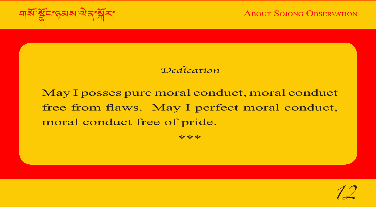**ABOUT SOJONG OBSERVATION** 

#### *Dedication*

free from flaws. May I perfect moral conduct, May I posses pure moral conduct, moral conduct moral conduct free of pride.

\*\*\*\*\*\*

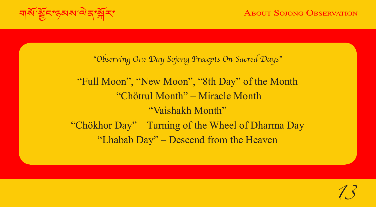নার্ষীস্থ্রি**হা**ণ্ড্রম্মাঞ্চার্ণষ্ট্রাহাণ করিবলৈ স্বাধীন স্বাধীন স্বাধীন স্বাধীন স্বাধীন স্বাধীন স্বাধীন স্বাধীন স্<br>বিষয়া স্বাধীন স্বাধীন স্বাধীন স্বাধীন স্বাধীন স্বাধীন স্বাধীন স্বাধীন স্বাধীন স্বাধীন স্বাধীন স্বাধীন স

"Observing One Day Sojong Precepts On Sacred Days"

| "Vaishakh Month" "Full Moon", "New Moon", "8th Day" of the Month "Chötrul Month" – Miracle Month "Chökhor Day" – Turning of the Wheel of Dharma Day "Lhabab Day" – Descend from the Heaven

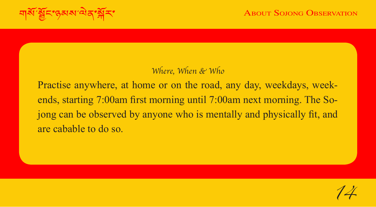## Where, When & Who

long can be observed by anyone who is mentally and physically fit, and Practise anywhere, at home or on the road, any day, weekdays, weekends, starting 7:00am first morning until 7:00am next morning. The Soare cabable to do so.

*14*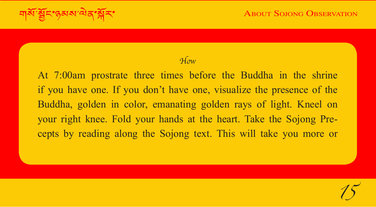নার্ষীস্থ্রিবিদ্গুমমাঞ্চিব্দ্গীবিদ্যালয় About Solong Observation কর্মীকা

*15*

## *How*

| Buddha, golden in color, emanating golden rays of light. Kneel on At 7:00am prostrate three times before the Buddha in the shrine if you have one. If you don't have one, visualize the presence of the your right knee. Fold your hands at the heart. Take the Sojong Precepts by reading along the Sojong text. This will take you more or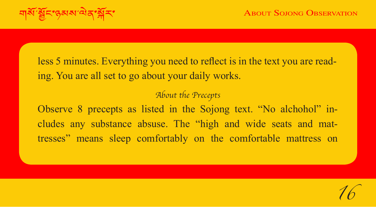less 5 minutes. Everything you need to reflect is in the text you are reading. You are all set to go about your daily works.

#### About the Precepts

| Observe 8 precepts as listed in the Sojong text. "No alchohol" includes any substance absuse. The "high and wide seats and mattresses" means sleep comfortably on the comfortable mattress on

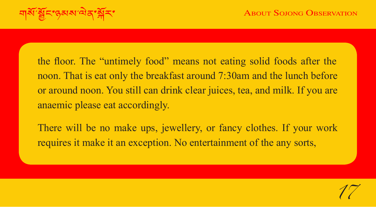*17*

না<sup>ষ্ঠা</sup>ষ্ট্ৰি<sup>শ</sup>পুৰুষ অ'অক্তি স্পীন কৰিবলৈ কাম কৰিবলৈ সকলো About Solong Observation

the floor. The "untimely food" means not eating solid foods after the noon. That is eat only the breakfast around 7:30am and the lunch before or around noon. You still can drink clear juices, tea, and milk. If you are anaemic please eat accordingly.

There will be no make ups, jewellery, or fancy clothes. If your work requires it make it an exception. No entertainment of the any sorts,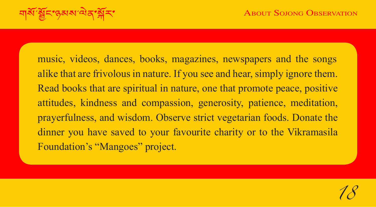শ<sup>ৰু মু</sup>হিঁ'যুৱাৰ অৱস্থাৰ সম্ভিদিক স্থাপন স্থাপন স্থাপন স্থাপন স্থাপন স্থাপন স্থাপন স্থাপন স্থাপন স্থাপন স্থাপন<br>স্থাপন স্থাপন স্থাপন স্থাপন স্থাপন স্থাপন স্থাপন স্থাপন স্থাপন স্থাপন স্থাপন স্থাপন স্থাপন স্থাপন স্থাপন স্

attitudes, kindness and compassion, generosity, patience, meditation,<br>prayerfulness, and wisdom. Observe strict vegetarian foods. Donate the music, videos, dances, books, magazines, newspapers and the songs alike that are frivolous in nature. If you see and hear, simply ignore them. Read books that are spiritual in nature, one that promote peace, positive attitudes, kindness and compassion, generosity, patience, meditation, dinner you have saved to your favourite charity or to the Vikramasila Foundation's "Mangoes" project.

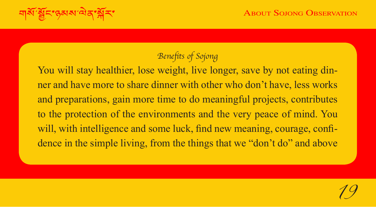নার্মী শ্রুনিংস্করমাঞ্চিন স্বীনা স্বাস্থ্য স্বাস্থ্য স্বাস্থ্য স্বাস্থ্য স্বাস্থ্য স্বাস্থ্য স্বাস্থ্য স্বাস্থ<br>স্বাস্থ্য স্বাস্থ্য স্বাস্থ্য স্বাস্থ্য স্বাস্থ্য স্বাস্থ্য স্বাস্থ্য স্বাস্থ্য স্বাস্থ্য স্বাস্থ্য স্বাস্থ্য

# Benefits of Sojong

to the protection of the environments and the very peace of mind. You You will stay healthier, lose weight, live longer, save by not eating dinner and have more to share dinner with other who don't have, less works and preparations, gain more time to do meaningful projects, contributes will, with intelligence and some luck, find new meaning, courage, confidence in the simple living, from the things that we "don't do" and above

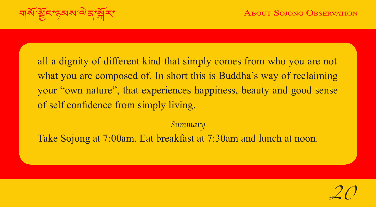of self confidence from simply living. all a dignity of different kind that simply comes from who you are not what you are composed of. In short this is Buddha's way of reclaiming your "own nature", that experiences happiness, beauty and good sense

Summary

Take Sojong at 7:00am. Eat breakfast at 7:30am and lunch at noon.

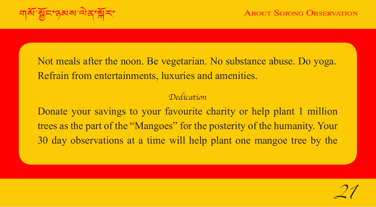না<sup>ষ্ঠা</sup>ষ্ট্ৰি<mark>হাণ্ড্ৰম্যাঞ্চিৰ্ণপ্</mark>নীহাৰ স্বাধীন স্থানীত স্থানীত স্থানীত স্থানীত স্থানীত স্থানীত স্থানীত স্থানীত<br>স্থানীত স্থানীত স্থানীত স্থানীত স্থানীত স্থানীত স্থানীত স্থানীত স্থানীত স্থানীত স্থানীত স্থানীত স্থানীত স্

Not meals after the noon. Be vegetarian. No substance abuse. Do yoga. Refrain from entertainments, luxuries and amenities.

### *Dedication*

| Donate your savings to your favourite charity or help plant 1 million trees as the part of the "Mangoes" for the posterity of the humanity. Your 30 day observations at a time will help plant one mangoe tree by the

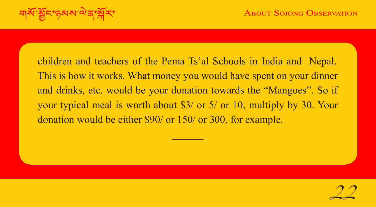| your typical meal is worth about \$3/ or 5/ or 10, multiply by 30. Your children and teachers of the Pema Ts'al Schools in India and Nepal. This is how it works. What money you would have spent on your dinner and drinks, etc. would be your donation towards the "Mangoes". So if donation would be either \$90/ or 150/ or 300, for example.

 $\mathcal{L}$